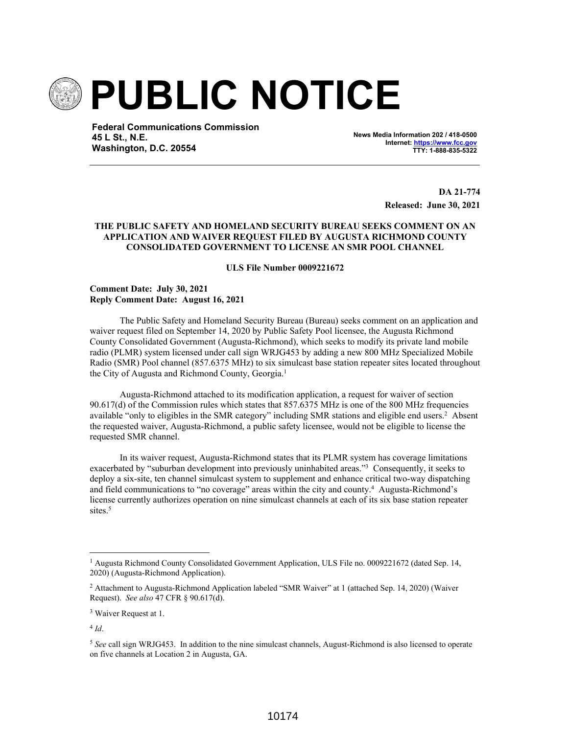

**Federal Communications Commission 45 L St., N.E. Washington, D.C. 20554**

**News Media Information 202 / 418-0500 Internet: https://www.fcc.gov TTY: 1-888-835-5322**

> **DA 21-774 Released: June 30, 2021**

## **THE PUBLIC SAFETY AND HOMELAND SECURITY BUREAU SEEKS COMMENT ON AN APPLICATION AND WAIVER REQUEST FILED BY AUGUSTA RICHMOND COUNTY CONSOLIDATED GOVERNMENT TO LICENSE AN SMR POOL CHANNEL**

**ULS File Number 0009221672**

**Comment Date: July 30, 2021 Reply Comment Date: August 16, 2021** 

The Public Safety and Homeland Security Bureau (Bureau) seeks comment on an application and waiver request filed on September 14, 2020 by Public Safety Pool licensee, the Augusta Richmond County Consolidated Government (Augusta-Richmond), which seeks to modify its private land mobile radio (PLMR) system licensed under call sign WRJG453 by adding a new 800 MHz Specialized Mobile Radio (SMR) Pool channel (857.6375 MHz) to six simulcast base station repeater sites located throughout the City of Augusta and Richmond County, Georgia.<sup>1</sup>

Augusta-Richmond attached to its modification application, a request for waiver of section 90.617(d) of the Commission rules which states that 857.6375 MHz is one of the 800 MHz frequencies available "only to eligibles in the SMR category" including SMR stations and eligible end users.<sup>2</sup> Absent the requested waiver, Augusta-Richmond, a public safety licensee, would not be eligible to license the requested SMR channel.

In its waiver request, Augusta-Richmond states that its PLMR system has coverage limitations exacerbated by "suburban development into previously uninhabited areas."<sup>3</sup> Consequently, it seeks to deploy a six-site, ten channel simulcast system to supplement and enhance critical two-way dispatching and field communications to "no coverage" areas within the city and county.<sup>4</sup> Augusta-Richmond's license currently authorizes operation on nine simulcast channels at each of its six base station repeater sites.<sup>5</sup>

<sup>&</sup>lt;sup>1</sup> Augusta Richmond County Consolidated Government Application, ULS File no. 0009221672 (dated Sep. 14, 2020) (Augusta-Richmond Application).

<sup>&</sup>lt;sup>2</sup> Attachment to Augusta-Richmond Application labeled "SMR Waiver" at 1 (attached Sep. 14, 2020) (Waiver Request). *See also* 47 CFR § 90.617(d).

<sup>&</sup>lt;sup>3</sup> Waiver Request at 1.

<sup>4</sup> *Id*.

<sup>5</sup> *See* call sign WRJG453. In addition to the nine simulcast channels, August-Richmond is also licensed to operate on five channels at Location 2 in Augusta, GA.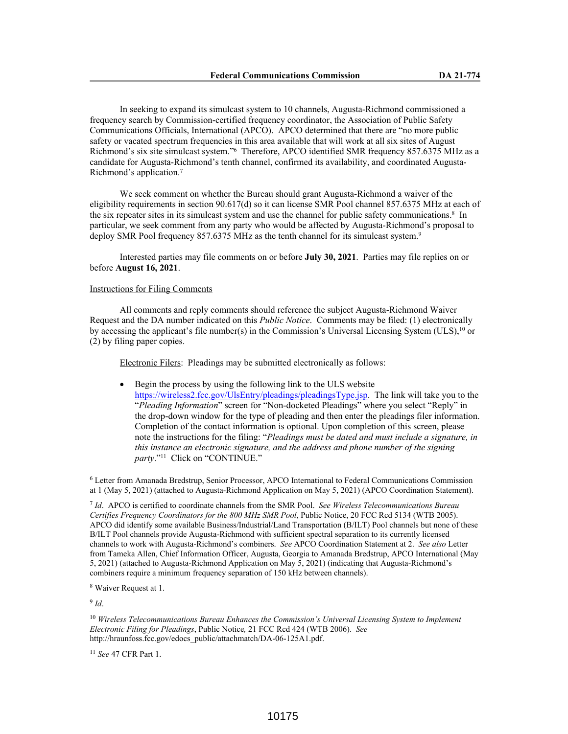In seeking to expand its simulcast system to 10 channels, Augusta-Richmond commissioned a frequency search by Commission-certified frequency coordinator, the Association of Public Safety Communications Officials, International (APCO). APCO determined that there are "no more public safety or vacated spectrum frequencies in this area available that will work at all six sites of August Richmond's six site simulcast system.<sup>"6</sup> Therefore, APCO identified SMR frequency 857.6375 MHz as a candidate for Augusta-Richmond's tenth channel, confirmed its availability, and coordinated Augusta-Richmond's application.<sup>7</sup>

We seek comment on whether the Bureau should grant Augusta-Richmond a waiver of the eligibility requirements in section 90.617(d) so it can license SMR Pool channel 857.6375 MHz at each of the six repeater sites in its simulcast system and use the channel for public safety communications.<sup>8</sup> In particular, we seek comment from any party who would be affected by Augusta-Richmond's proposal to deploy SMR Pool frequency 857.6375 MHz as the tenth channel for its simulcast system.<sup>9</sup>

Interested parties may file comments on or before **July 30, 2021**. Parties may file replies on or before **August 16, 2021**.

## Instructions for Filing Comments

All comments and reply comments should reference the subject Augusta-Richmond Waiver Request and the DA number indicated on this *Public Notice*. Comments may be filed: (1) electronically by accessing the applicant's file number(s) in the Commission's Universal Licensing System (ULS),<sup>10</sup> or (2) by filing paper copies.

Electronic Filers: Pleadings may be submitted electronically as follows:

 Begin the process by using the following link to the ULS website https://wireless2.fcc.gov/UlsEntry/pleadings/pleadingsType.jsp. The link will take you to the "*Pleading Information*" screen for "Non-docketed Pleadings" where you select "Reply" in the drop-down window for the type of pleading and then enter the pleadings filer information. Completion of the contact information is optional. Upon completion of this screen, please note the instructions for the filing: "*Pleadings must be dated and must include a signature, in this instance an electronic signature, and the address and phone number of the signing*  party."<sup>11</sup> Click on "CONTINUE."

8 Waiver Request at 1.

9 *Id*.

<sup>11</sup> *See* 47 CFR Part 1.

<sup>6</sup> Letter from Amanada Bredstrup, Senior Processor, APCO International to Federal Communications Commission at 1 (May 5, 2021) (attached to Augusta-Richmond Application on May 5, 2021) (APCO Coordination Statement).

<sup>7</sup> *Id*. APCO is certified to coordinate channels from the SMR Pool. *See Wireless Telecommunications Bureau Certifies Frequency Coordinators for the 800 MHz SMR Pool*, Public Notice, 20 FCC Rcd 5134 (WTB 2005). APCO did identify some available Business/Industrial/Land Transportation (B/ILT) Pool channels but none of these B/ILT Pool channels provide Augusta-Richmond with sufficient spectral separation to its currently licensed channels to work with Augusta-Richmond's combiners. *See* APCO Coordination Statement at 2. *See also* Letter from Tameka Allen, Chief Information Officer, Augusta, Georgia to Amanada Bredstrup, APCO International (May 5, 2021) (attached to Augusta-Richmond Application on May 5, 2021) (indicating that Augusta-Richmond's combiners require a minimum frequency separation of 150 kHz between channels).

<sup>10</sup> *Wireless Telecommunications Bureau Enhances the Commission's Universal Licensing System to Implement Electronic Filing for Pleadings*, Public Notice*,* 21 FCC Rcd 424 (WTB 2006). *See*  http://hraunfoss.fcc.gov/edocs\_public/attachmatch/DA-06-125A1.pdf.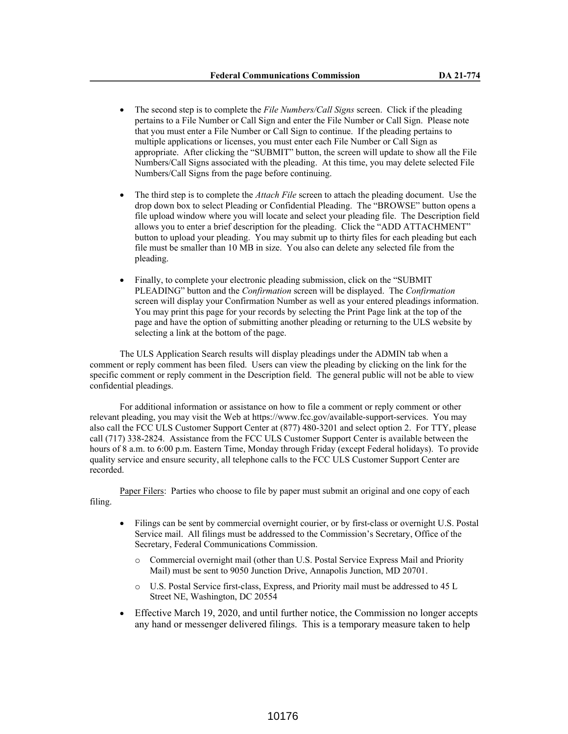- The second step is to complete the *File Numbers/Call Signs* screen. Click if the pleading pertains to a File Number or Call Sign and enter the File Number or Call Sign. Please note that you must enter a File Number or Call Sign to continue. If the pleading pertains to multiple applications or licenses, you must enter each File Number or Call Sign as appropriate. After clicking the "SUBMIT" button, the screen will update to show all the File Numbers/Call Signs associated with the pleading. At this time, you may delete selected File Numbers/Call Signs from the page before continuing.
- The third step is to complete the *Attach File* screen to attach the pleading document. Use the drop down box to select Pleading or Confidential Pleading. The "BROWSE" button opens a file upload window where you will locate and select your pleading file. The Description field allows you to enter a brief description for the pleading. Click the "ADD ATTACHMENT" button to upload your pleading. You may submit up to thirty files for each pleading but each file must be smaller than 10 MB in size. You also can delete any selected file from the pleading.
- Finally, to complete your electronic pleading submission, click on the "SUBMIT PLEADING" button and the *Confirmation* screen will be displayed. The *Confirmation* screen will display your Confirmation Number as well as your entered pleadings information. You may print this page for your records by selecting the Print Page link at the top of the page and have the option of submitting another pleading or returning to the ULS website by selecting a link at the bottom of the page.

The ULS Application Search results will display pleadings under the ADMIN tab when a comment or reply comment has been filed. Users can view the pleading by clicking on the link for the specific comment or reply comment in the Description field. The general public will not be able to view confidential pleadings.

For additional information or assistance on how to file a comment or reply comment or other relevant pleading, you may visit the Web at https://www.fcc.gov/available-support-services. You may also call the FCC ULS Customer Support Center at (877) 480-3201 and select option 2. For TTY, please call (717) 338-2824. Assistance from the FCC ULS Customer Support Center is available between the hours of 8 a.m. to 6:00 p.m. Eastern Time, Monday through Friday (except Federal holidays). To provide quality service and ensure security, all telephone calls to the FCC ULS Customer Support Center are recorded.

Paper Filers: Parties who choose to file by paper must submit an original and one copy of each filing.

- Filings can be sent by commercial overnight courier, or by first-class or overnight U.S. Postal Service mail. All filings must be addressed to the Commission's Secretary, Office of the Secretary, Federal Communications Commission.
	- Commercial overnight mail (other than U.S. Postal Service Express Mail and Priority Mail) must be sent to 9050 Junction Drive, Annapolis Junction, MD 20701.
	- o U.S. Postal Service first-class, Express, and Priority mail must be addressed to 45 L Street NE, Washington, DC 20554
- Effective March 19, 2020, and until further notice, the Commission no longer accepts any hand or messenger delivered filings. This is a temporary measure taken to help